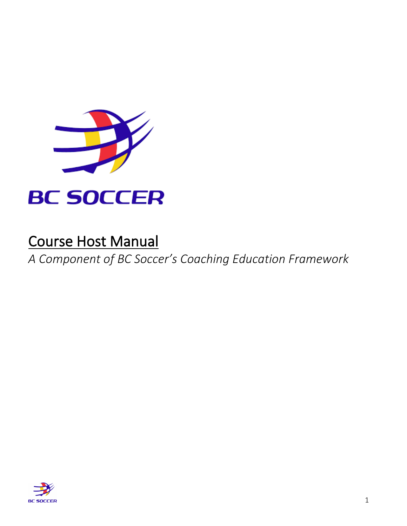

# Course Host Manual

*A Component of BC Soccer's Coaching Education Framework*

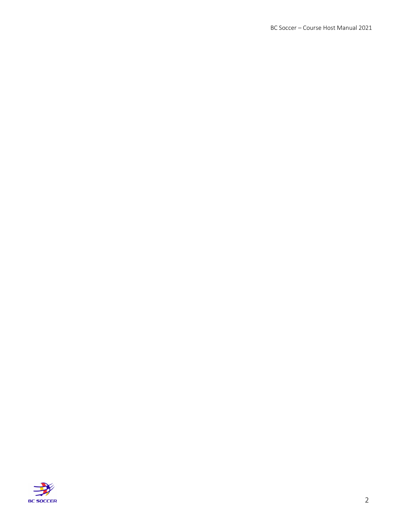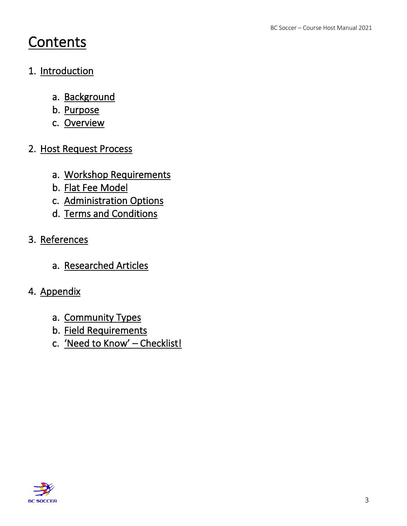# **Contents**

# 1. Introduction

- a. Background
- b. Purpose
- c. Overview
- 2. Host Request Process
	- a. Workshop Requirements
	- b. Flat Fee Model
	- c. Administration Options
	- d. Terms and Conditions
- 3. References
	- a. Researched Articles
- 4. Appendix
	- a. Community Types
	- b. Field Requirements
	- c. 'Need to Know' Checklist!

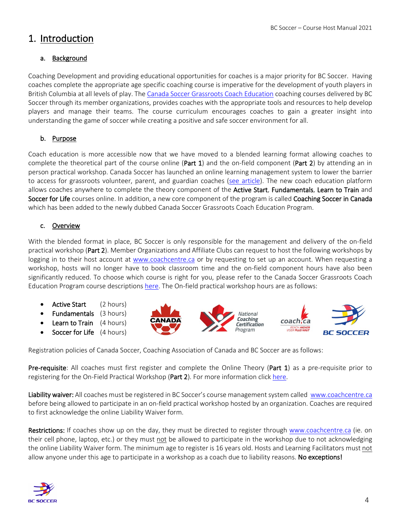# 1. Introduction

# a. Background

Coaching Development and providing educational opportunities for coaches is a major priority for BC Soccer. Having coaches complete the appropriate age specific coaching course is imperative for the development of youth players in British Columbia at all levels of play. The [Canada Soccer Grassroots Coach Education](https://www.canadasoccer.com/coach/coach-education-and-certification/grassroots-coach-education-program/) coaching courses delivered by BC Soccer through its member organizations, provides coaches with the appropriate tools and resources to help develop players and manage their teams. The course curriculum encourages coaches to gain a greater insight into understanding the game of soccer while creating a positive and safe soccer environment for all.

# b. Purpose

Coach education is more accessible now that we have moved to a blended learning format allowing coaches to complete the theoretical part of the course online (Part 1) and the on-field component (Part 2) by attending an in person practical workshop. Canada Soccer has launched an online learning management system to lower the barrier to access for grassroots volunteer, parent, and guardian coaches [\(see article\)](https://www.canadasoccer.com/news/canada-soccer-launches-online-grassroots-coach-education-program/). The new coach education platform allows coaches anywhere to complete the theory component of the Active Start, Fundamentals, Learn to Train and Soccer for Life courses online. In addition, a new core component of the program is called Coaching Soccer in Canada which has been added to the newly dubbed Canada Soccer Grassroots Coach Education Program.

# c. Overview

With the blended format in place, BC Soccer is only responsible for the management and delivery of the on-field practical workshop (Part 2). Member Organizations and Affiliate Clubs can request to host the following workshops by logging in to their host account at [www.coachcentre.ca](http://www.coachcentre.ca/) or by requesting to set up an account. When requesting a workshop, hosts will no longer have to book classroom time and the on-field component hours have also been significantly reduced. To choose which course is right for you, please refer to the Canada Soccer Grassroots Coach Education Program course descriptions [here.](https://www.canadasoccer.com/coach/coach-education-and-certification/grassroots-coach-education-program/) The On-field practical workshop hours are as follows:

- Active Start (2 hours)
- Fundamentals (3 hours)
- Learn to Train (4 hours)
- Soccer for Life (4 hours)



Registration policies of Canada Soccer, Coaching Association of Canada and BC Soccer are as follows:

Pre-requisite: All coaches must first register and complete the Online Theory (Part 1) as a pre-requisite prior to registering for the On-Field Practical Workshop (Part 2). For more information click [here.](https://bcsoccer.net/register-for-a-course)

Liability waiver: All coaches must be registered in BC Soccer's course management system called [www.coachcentre.ca](http://www.coachcentre.ca/) before being allowed to participate in an on-field practical workshop hosted by an organization. Coaches are required to first acknowledge the online Liability Waiver form.

Restrictions: If coaches show up on the day, they must be directed to register through [www.coachcentre.ca](http://www.coachcentre.ca/) (ie. on their cell phone, laptop, etc.) or they must not be allowed to participate in the workshop due to not acknowledging the online Liability Waiver form. The minimum age to register is 16 years old. Hosts and Learning Facilitators must not allow anyone under this age to participate in a workshop as a coach due to liability reasons. No exceptions!

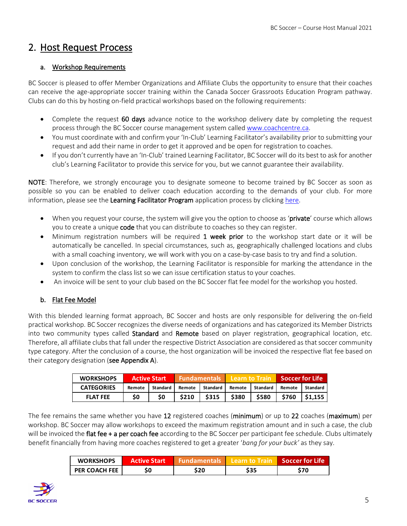# 2. Host Request Process

### a. Workshop Requirements

BC Soccer is pleased to offer Member Organizations and Affiliate Clubs the opportunity to ensure that their coaches can receive the age-appropriate soccer training within the Canada Soccer Grassroots Education Program pathway. Clubs can do this by hosting on-field practical workshops based on the following requirements:

- Complete the request 60 days advance notice to the workshop delivery date by completing the request process through the BC Soccer course management system called [www.coachcentre.ca.](http://www.coachcentre.ca/)
- You must coordinate with and confirm your 'In-Club' Learning Facilitator's availability prior to submitting your request and add their name in order to get it approved and be open for registration to coaches.
- If you don't currently have an 'In-Club' trained Learning Facilitator, BC Soccer will do its best to ask for another club's Learning Facilitator to provide this service for you, but we cannot guarantee their availability.

NOTE: Therefore, we strongly encourage you to designate someone to become trained by BC Soccer as soon as possible so you can be enabled to deliver coach education according to the demands of your club. For more information, please see the Learning Facilitator Program application process by clicking [here.](https://bcsoccer.net/learning-facilitator-program)

- When you request your course, the system will give you the option to choose as 'private' course which allows you to create a unique **code** that you can distribute to coaches so they can register.
- Minimum registration numbers will be required 1 week prior to the workshop start date or it will be automatically be cancelled. In special circumstances, such as, geographically challenged locations and clubs with a small coaching inventory, we will work with you on a case-by-case basis to try and find a solution.
- Upon conclusion of the workshop, the Learning Facilitator is responsible for marking the attendance in the system to confirm the class list so we can issue certification status to your coaches.
- An invoice will be sent to your club based on the BC Soccer flat fee model for the workshop you hosted.

## b. Flat Fee Model

With this blended learning format approach, BC Soccer and hosts are only responsible for delivering the on-field practical workshop. BC Soccer recognizes the diverse needs of organizations and has categorized its Member Districts into two community types called Standard and Remote based on player registration, geographical location, etc. Therefore, all affiliate clubs that fall under the respective District Association are considered as that soccer community type category. After the conclusion of a course, the host organization will be invoiced the respective flat fee based on their category designation (see Appendix A).

| <b>WORKSHOPS</b>  | <b>Active Start</b> |                 | <b>Fundamentals</b> |                 |        |          | Soccer for Life' |          |
|-------------------|---------------------|-----------------|---------------------|-----------------|--------|----------|------------------|----------|
| <b>CATEGORIES</b> | Remote              | <b>Standard</b> | Remote              | <b>Standard</b> | Remote | Standard | Remote           | Standard |
| <b>FLAT FEE</b>   | \$0                 | \$0             | \$210               | \$315           | \$380  | \$580    | \$760            | \$1.155  |

The fee remains the same whether you have 12 registered coaches (minimum) or up to 22 coaches (maximum) per workshop. BC Soccer may allow workshops to exceed the maximum registration amount and in such a case, the club will be invoiced the flat fee + a per coach fee according to the BC Soccer per participant fee schedule. Clubs ultimately benefit financially from having more coaches registered to get a greater '*bang for your buck'* as they say.

| <b>WORKSHOPS</b>     | <b>Active Start</b> | Fundamentals. |      | Soccer for Life |
|----------------------|---------------------|---------------|------|-----------------|
| <b>PER COACH FEE</b> | 0د                  | \$20          | \$35 | <b>S70</b>      |

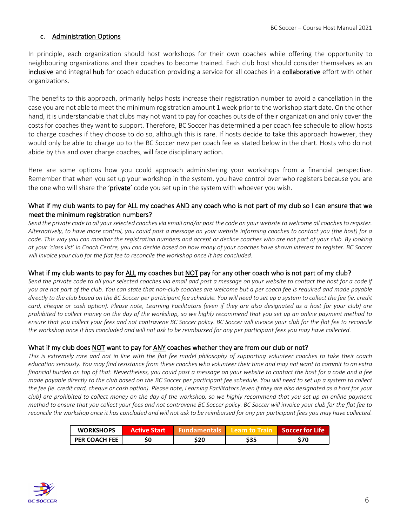#### c. Administration Options

In principle, each organization should host workshops for their own coaches while offering the opportunity to neighbouring organizations and their coaches to become trained. Each club host should consider themselves as an inclusive and integral hub for coach education providing a service for all coaches in a collaborative effort with other organizations.

The benefits to this approach, primarily helps hosts increase their registration number to avoid a cancellation in the case you are not able to meet the minimum registration amount 1 week prior to the workshop start date. On the other hand, it is understandable that clubs may not want to pay for coaches outside of their organization and only cover the costs for coaches they want to support. Therefore, BC Soccer has determined a per coach fee schedule to allow hosts to charge coaches if they choose to do so, although this is rare. If hosts decide to take this approach however, they would only be able to charge up to the BC Soccer new per coach fee as stated below in the chart. Hosts who do not abide by this and over charge coaches, will face disciplinary action.

Here are some options how you could approach administering your workshops from a financial perspective. Remember that when you set up your workshop in the system, you have control over who registers because you are the one who will share the 'private' code you set up in the system with whoever you wish.

#### What if my club wants to pay for ALL my coaches AND any coach who is not part of my club so I can ensure that we meet the minimum registration numbers?

*Send the private code to all your selected coaches via email and/or post the code on your website to welcome all coaches to register. Alternatively, to have more control, you could post a message on your website informing coaches to contact you (the host) for a code. This way you can monitor the registration numbers and accept or decline coaches who are not part of your club. By looking at your 'class list' in Coach Centre, you can decide based on how many of your coaches have shown interest to register. BC Soccer will invoice your club for the flat fee to reconcile the workshop once it has concluded.*

#### What if my club wants to pay for ALL my coaches but NOT pay for any other coach who is not part of my club?

*Send the private code to all your selected coaches via email and post a message on your website to contact the host for a code if you are not part of the club. You can state that non-club coaches are welcome but a per coach fee is required and made payable directly to the club based on the BC Soccer per participant fee schedule. You will need to set up a system to collect the fee (ie. credit card, cheque or cash option). Please note, Learning Facilitators (even if they are also designated as a host for your club) are prohibited to collect money on the day of the workshop, so we highly recommend that you set up an online payment method to ensure that you collect your fees and not contravene BC Soccer policy. BC Soccer will invoice your club for the flat fee to reconcile the workshop once it has concluded and will not ask to be reimbursed for any per participant fees you may have collected.*

#### What if my club does NOT want to pay for ANY coaches whether they are from our club or not?

*This is extremely rare and not in line with the flat fee model philosophy of supporting volunteer coaches to take their coach education seriously. You may find resistance from these coaches who volunteer their time and may not want to commit to an extra financial burden on top of that. Nevertheless, you could post a message on your website to contact the host for a code and a fee made payable directly to the club based on the BC Soccer per participant fee schedule. You will need to set up a system to collect the fee (ie. credit card, cheque or cash option). Please note, Learning Facilitators (even if they are also designated as a host for your club) are prohibited to collect money on the day of the workshop, so we highly recommend that you set up an online payment method to ensure that you collect your fees and not contravene BC Soccer policy. BC Soccer will invoice your club for the flat fee to reconcile the workshop once it has concluded and will not ask to be reimbursed for any per participant fees you may have collected.*

| <b>WORKSHOPS</b>     | <b>Active Start</b> | Fundamentals |      | Soccer for Life |
|----------------------|---------------------|--------------|------|-----------------|
| <b>PER COACH FEE</b> |                     | \$20         | \$35 | <b>\$70</b>     |

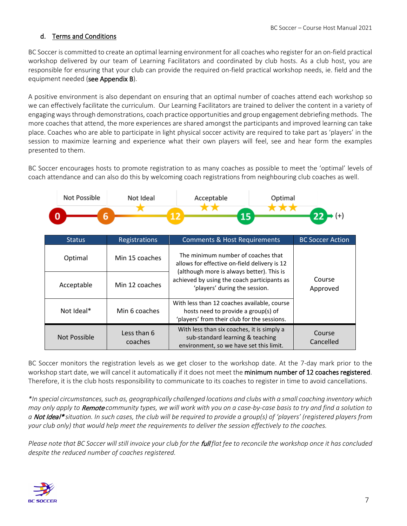### d. Terms and Conditions

BC Soccer is committed to create an optimal learning environment for all coaches who register for an on-field practical workshop delivered by our team of Learning Facilitators and coordinated by club hosts. As a club host, you are responsible for ensuring that your club can provide the required on-field practical workshop needs, ie. field and the equipment needed (see Appendix B).

A positive environment is also dependant on ensuring that an optimal number of coaches attend each workshop so we can effectively facilitate the curriculum. Our Learning Facilitators are trained to deliver the content in a variety of engaging ways through demonstrations, coach practice opportunities and group engagement debriefing methods. The more coaches that attend, the more experiences are shared amongst the participants and improved learning can take place. Coaches who are able to participate in light physical soccer activity are required to take part as 'players' in the session to maximize learning and experience what their own players will feel, see and hear form the examples presented to them.

BC Soccer encourages hosts to promote registration to as many coaches as possible to meet the 'optimal' levels of coach attendance and can also do this by welcoming coach registrations from neighbouring club coaches as well.



| <b>Status</b> | <b>Registrations</b>   | <b>Comments &amp; Host Requirements</b>                                                                                           | <b>BC Soccer Action</b> |  |
|---------------|------------------------|-----------------------------------------------------------------------------------------------------------------------------------|-------------------------|--|
| Optimal       | Min 15 coaches         | The minimum number of coaches that<br>allows for effective on-field delivery is 12                                                |                         |  |
| Acceptable    | Min 12 coaches         | (although more is always better). This is<br>achieved by using the coach participants as<br>'players' during the session.         | Course<br>Approved      |  |
| Not Ideal*    | Min 6 coaches          | With less than 12 coaches available, course<br>hosts need to provide a group(s) of<br>'players' from their club for the sessions. |                         |  |
| Not Possible  | Less than 6<br>coaches | With less than six coaches, it is simply a<br>sub-standard learning & teaching<br>environment, so we have set this limit.         | Course<br>Cancelled     |  |

BC Soccer monitors the registration levels as we get closer to the workshop date. At the 7-day mark prior to the workshop start date, we will cancel it automatically if it does not meet the minimum number of 12 coaches registered. Therefore, it is the club hosts responsibility to communicate to its coaches to register in time to avoid cancellations.

*\*In special circumstances,such as, geographically challenged locations and clubs with a small coaching inventory which may only apply to* Remote *community types, we will work with you on a case-by-case basis to try and find a solution to a* Not Ideal\* *situation. In such cases, the club will be required to provide a group(s) of 'players' (registered players from your club only) that would help meet the requirements to deliver the session effectively to the coaches.* 

*Please note that BC Soccer will still invoice your club for the* full *flat fee to reconcile the workshop once it has concluded despite the reduced number of coaches registered.*

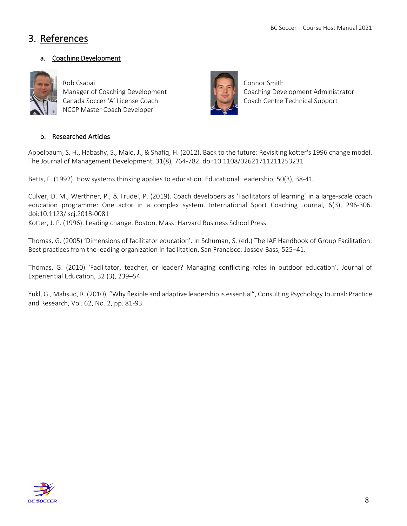# 3. References

# a. Coaching Development



Rob Csabai **Connor Smith** Connor Smith Canada Soccer 'A' License Coach Coach Centre Technical Support NCCP Master Coach Developer



Manager of Coaching Development Computer Coaching Development Administrator

## b. Researched Articles

Appelbaum, S. H., Habashy, S., Malo, J., & Shafiq, H. (2012). Back to the future: Revisiting kotter's 1996 change model. The Journal of Management Development, 31(8), 764-782. doi:10.1108/02621711211253231

Betts, F. (1992). How systems thinking applies to education. Educational Leadership, 50(3), 38-41.

Culver, D. M., Werthner, P., & Trudel, P. (2019). Coach developers as 'Facilitators of learning' in a large-scale coach education programme: One actor in a complex system. International Sport Coaching Journal, 6(3), 296-306. doi:10.1123/iscj.2018-0081

Kotter, J. P. (1996). Leading change. Boston, Mass: Harvard Business School Press.

Thomas, G. (2005) 'Dimensions of facilitator education'. In Schuman, S. (ed.) The IAF Handbook of Group Facilitation: Best practices from the leading organization in facilitation. San Francisco: Jossey-Bass, 525–41.

Thomas, G. (2010) 'Facilitator, teacher, or leader? Managing conflicting roles in outdoor education'. Journal of Experiential Education, 32 (3), 239–54.

Yukl, G., Mahsud, R. (2010), "Why flexible and adaptive leadership is essential", Consulting Psychology Journal: Practice and Research, Vol. 62, No. 2, pp. 81-93.

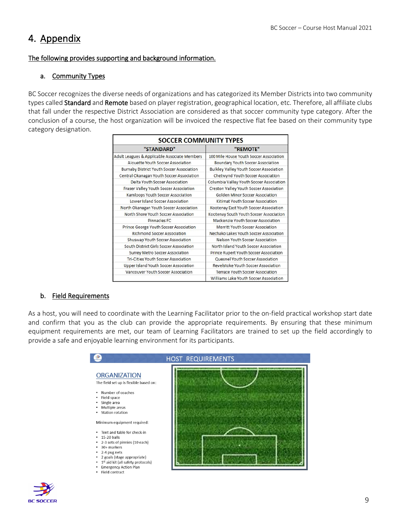# 4. Appendix

### The following provides supporting and background information.

### a. Community Types

BC Soccer recognizes the diverse needs of organizations and has categorized its Member Districts into two community types called Standard and Remote based on player registration, geographical location, etc. Therefore, all affiliate clubs that fall under the respective District Association are considered as that soccer community type category. After the conclusion of a course, the host organization will be invoiced the respective flat fee based on their community type category designation.

| <b>SOCCER COMMUNITY TYPES</b>                |                                                |  |  |  |
|----------------------------------------------|------------------------------------------------|--|--|--|
| "STANDARD"                                   | "REMOTE"                                       |  |  |  |
| Adult Leagues & Applicable Associate Members | 100 Mile House Youth Soccer Association        |  |  |  |
| Alouette Youth Soccer Association            | <b>Boundary Youth Soccer Association</b>       |  |  |  |
| Burnaby District Youth Soccer Association    | <b>Bulkley Valley Youth Soccer Association</b> |  |  |  |
| Central Okanagan Youth Soccer Association    | Chetwynd Youth Soccer Association              |  |  |  |
| Delta Youth Soccer Association               | Columbia Valley Youth Soccer Association       |  |  |  |
| Fraser Valley Youth Soccer Association       | Creston Valley Youth Soccer Association        |  |  |  |
| Kamloops Youth Soccer Association            | <b>Golden Minor Soccer Association</b>         |  |  |  |
| Lower Island Soccer Association              | Kitimat Youth Soccer Association               |  |  |  |
| North Okanagan Youth Soccer Association      | Kootenay East Youth Soccer Association         |  |  |  |
| North Shore Youth Soccer Association         | Kootenay South Youth Soccer Association        |  |  |  |
| Pinnacles FC                                 | Mackenzie Youth Soccer Association             |  |  |  |
| Prince George Youth Soccer Association       | <b>Merritt Youth Soccer Association</b>        |  |  |  |
| <b>Richmond Soccer Association</b>           | Nechako Lakes Youth Soccer Association         |  |  |  |
| Shuswap Youth Soccer Association             | Nelson Youth Soccer Association                |  |  |  |
| South District Girls Soccer Association      | North Island Youth Soccer Association          |  |  |  |
| Surrey Metro Soccer Association              | Prince Rupert Youth Soccer Association         |  |  |  |
| <b>Tri-Cities Youth Soccer Association</b>   | Quesnel Youth Soccer Association               |  |  |  |
| Upper Island Youth Soccer Association        | Revelstoke Youth Soccer Association            |  |  |  |
| Vancouver Youth Soccer Association           | <b>Terrace Youth Soccer Association</b>        |  |  |  |
|                                              | Williams Lake Youth Soccer Association         |  |  |  |

## b. Field Requirements

As a host, you will need to coordinate with the Learning Facilitator prior to the on-field practical workshop start date and confirm that you as the club can provide the appropriate requirements. By ensuring that these minimum equipment requirements are met, our team of Learning Facilitators are trained to set up the field accordingly to provide a safe and enjoyable learning environment for its participants.